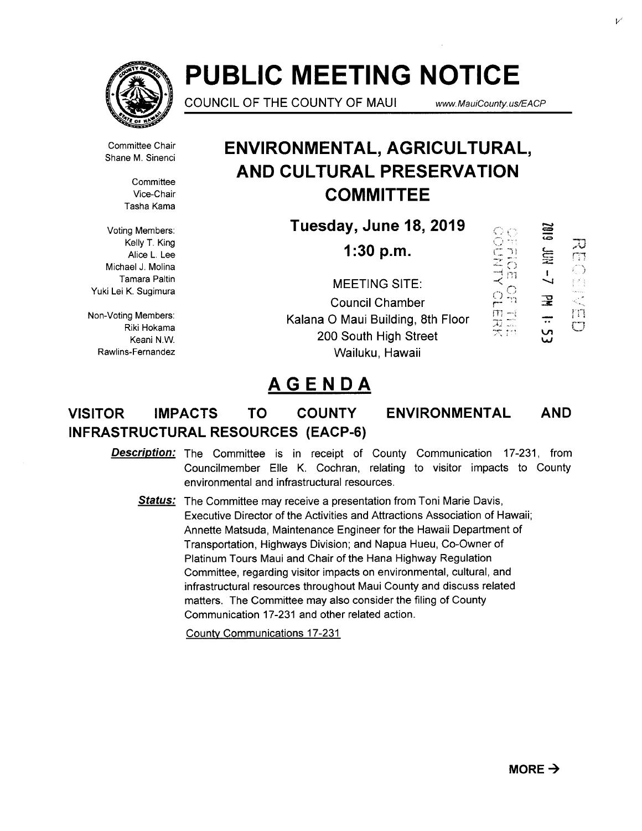

# **PUBLIC MEETING NOTICE**

COUNCIL OF THE COUNTY OF MAUI **www.MauiCounty.us/EACP** 

I  $\overline{\phantom{a}}$ 

**SIBZ** 

V1 *w* 

 $\overline{\overline{C}}$ 

n.

Committee Chair Shane M. Sinenci

> **Committee** Vice-Chair Tasha Kama

Voting Members: Kelly T. King Alice L. Lee Michael J. Molina Tamara Paltin Yuki Lei K. Sugimura

Non-Voting Members: Riki Hokama Keani N.W. Rawlins-Fernandez

# **ENVIRONMENTAL, AGRICULTURAL, AND CULTURAL PRESERVATION COMMITTEE**

**Tuesday,June18,2019** 

**1:30 p.m.**   $\mathcal{A}$  $\bigcirc$  $\Box$ MEETING SITE:  $\stackrel{\textstyle \bigcirc}{\textstyle \bigcirc} \stackrel{\textstyle \bigcirc}{\textstyle \bigcirc}$ Council Chamber  $\frac{m}{2}$  $\frac{-1}{2}$ Kalana 0 Maui Building, 8th Floor 200 South High Street Wailuku, Hawaii

# **AGENDA**

# **VISITOR IMPACTS TO COUNTY ENVIRONMENTAL INFRASTRUCTURAL RESOURCES (EACP-6) AND**

**Description:** The Committee is in receipt of County Communication 17-231, from Councilmember Elle K. Cochran, relating to visitor impacts to County environmental and infrastructural resources.

Status: The Committee may receive a presentation from Toni Marie Davis, Executive Director of the Activities and Attractions Association of Hawaii; Annette Matsuda, Maintenance Engineer for the Hawaii Department of Transportation, Highways Division; and Napua Hueu, Co-Owner of Platinum Tours Maui and Chair of the Hana Highway Regulation Committee, regarding visitor impacts on environmental, cultural, and infrastructural resources throughout Maui County and discuss related matters. The Committee may also consider the filing of County Communication 17-231 and other related action.

County Communications 17-231